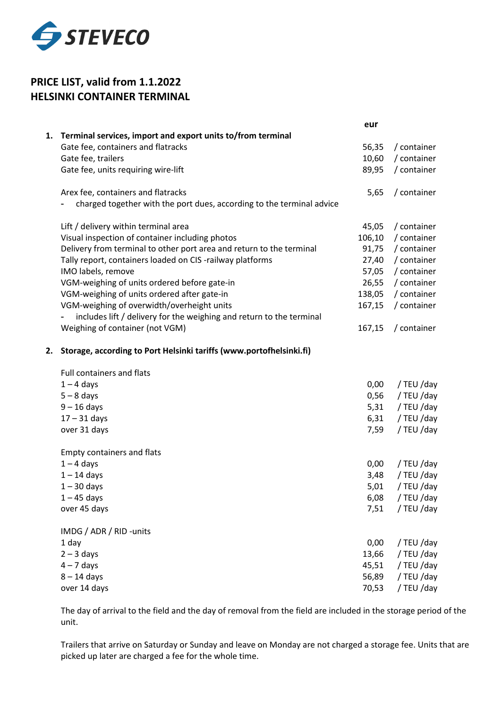

## **PRICE LIST, valid from 1.1.2022 HELSINKI CONTAINER TERMINAL**

| 1. Terminal services, import and export units to/from terminal<br>Gate fee, containers and flatracks<br>56,35<br>Gate fee, trailers<br>10,60<br>Gate fee, units requiring wire-lift<br>89,95<br>Arex fee, containers and flatracks<br>5,65<br>charged together with the port dues, according to the terminal advice<br>Lift / delivery within terminal area<br>45,05<br>Visual inspection of container including photos<br>106,10<br>Delivery from terminal to other port area and return to the terminal<br>91,75<br>Tally report, containers loaded on CIS -railway platforms<br>27,40<br>IMO labels, remove<br>57,05<br>VGM-weighing of units ordered before gate-in<br>26,55<br>VGM-weighing of units ordered after gate-in<br>138,05<br>VGM-weighing of overwidth/overheight units<br>167,15<br>includes lift / delivery for the weighing and return to the terminal<br>Weighing of container (not VGM)<br>167,15<br>Storage, according to Port Helsinki tariffs (www.portofhelsinki.fi)<br>2.<br>Full containers and flats<br>$1 - 4$ days<br>0,00<br>$5 - 8$ days<br>0,56<br>$9 - 16$ days<br>5,31<br>$17 - 31$ days<br>6,31<br>over 31 days<br>7,59<br>Empty containers and flats<br>$1 - 4$ days<br>0,00 |               | eur  |             |
|-------------------------------------------------------------------------------------------------------------------------------------------------------------------------------------------------------------------------------------------------------------------------------------------------------------------------------------------------------------------------------------------------------------------------------------------------------------------------------------------------------------------------------------------------------------------------------------------------------------------------------------------------------------------------------------------------------------------------------------------------------------------------------------------------------------------------------------------------------------------------------------------------------------------------------------------------------------------------------------------------------------------------------------------------------------------------------------------------------------------------------------------------------------------------------------------------------------------|---------------|------|-------------|
|                                                                                                                                                                                                                                                                                                                                                                                                                                                                                                                                                                                                                                                                                                                                                                                                                                                                                                                                                                                                                                                                                                                                                                                                                   |               |      |             |
|                                                                                                                                                                                                                                                                                                                                                                                                                                                                                                                                                                                                                                                                                                                                                                                                                                                                                                                                                                                                                                                                                                                                                                                                                   |               |      | / container |
|                                                                                                                                                                                                                                                                                                                                                                                                                                                                                                                                                                                                                                                                                                                                                                                                                                                                                                                                                                                                                                                                                                                                                                                                                   |               |      | / container |
|                                                                                                                                                                                                                                                                                                                                                                                                                                                                                                                                                                                                                                                                                                                                                                                                                                                                                                                                                                                                                                                                                                                                                                                                                   |               |      | / container |
|                                                                                                                                                                                                                                                                                                                                                                                                                                                                                                                                                                                                                                                                                                                                                                                                                                                                                                                                                                                                                                                                                                                                                                                                                   |               |      | / container |
|                                                                                                                                                                                                                                                                                                                                                                                                                                                                                                                                                                                                                                                                                                                                                                                                                                                                                                                                                                                                                                                                                                                                                                                                                   |               |      | / container |
|                                                                                                                                                                                                                                                                                                                                                                                                                                                                                                                                                                                                                                                                                                                                                                                                                                                                                                                                                                                                                                                                                                                                                                                                                   |               |      | / container |
|                                                                                                                                                                                                                                                                                                                                                                                                                                                                                                                                                                                                                                                                                                                                                                                                                                                                                                                                                                                                                                                                                                                                                                                                                   |               |      | / container |
|                                                                                                                                                                                                                                                                                                                                                                                                                                                                                                                                                                                                                                                                                                                                                                                                                                                                                                                                                                                                                                                                                                                                                                                                                   |               |      | / container |
|                                                                                                                                                                                                                                                                                                                                                                                                                                                                                                                                                                                                                                                                                                                                                                                                                                                                                                                                                                                                                                                                                                                                                                                                                   |               |      | / container |
|                                                                                                                                                                                                                                                                                                                                                                                                                                                                                                                                                                                                                                                                                                                                                                                                                                                                                                                                                                                                                                                                                                                                                                                                                   |               |      | / container |
|                                                                                                                                                                                                                                                                                                                                                                                                                                                                                                                                                                                                                                                                                                                                                                                                                                                                                                                                                                                                                                                                                                                                                                                                                   |               |      | / container |
|                                                                                                                                                                                                                                                                                                                                                                                                                                                                                                                                                                                                                                                                                                                                                                                                                                                                                                                                                                                                                                                                                                                                                                                                                   |               |      | / container |
|                                                                                                                                                                                                                                                                                                                                                                                                                                                                                                                                                                                                                                                                                                                                                                                                                                                                                                                                                                                                                                                                                                                                                                                                                   |               |      |             |
|                                                                                                                                                                                                                                                                                                                                                                                                                                                                                                                                                                                                                                                                                                                                                                                                                                                                                                                                                                                                                                                                                                                                                                                                                   |               |      | / container |
|                                                                                                                                                                                                                                                                                                                                                                                                                                                                                                                                                                                                                                                                                                                                                                                                                                                                                                                                                                                                                                                                                                                                                                                                                   |               |      |             |
|                                                                                                                                                                                                                                                                                                                                                                                                                                                                                                                                                                                                                                                                                                                                                                                                                                                                                                                                                                                                                                                                                                                                                                                                                   |               |      |             |
|                                                                                                                                                                                                                                                                                                                                                                                                                                                                                                                                                                                                                                                                                                                                                                                                                                                                                                                                                                                                                                                                                                                                                                                                                   |               |      | / TEU /day  |
|                                                                                                                                                                                                                                                                                                                                                                                                                                                                                                                                                                                                                                                                                                                                                                                                                                                                                                                                                                                                                                                                                                                                                                                                                   |               |      | / TEU /day  |
|                                                                                                                                                                                                                                                                                                                                                                                                                                                                                                                                                                                                                                                                                                                                                                                                                                                                                                                                                                                                                                                                                                                                                                                                                   |               |      | / TEU /day  |
|                                                                                                                                                                                                                                                                                                                                                                                                                                                                                                                                                                                                                                                                                                                                                                                                                                                                                                                                                                                                                                                                                                                                                                                                                   |               |      | / TEU /day  |
|                                                                                                                                                                                                                                                                                                                                                                                                                                                                                                                                                                                                                                                                                                                                                                                                                                                                                                                                                                                                                                                                                                                                                                                                                   |               |      | / TEU /day  |
|                                                                                                                                                                                                                                                                                                                                                                                                                                                                                                                                                                                                                                                                                                                                                                                                                                                                                                                                                                                                                                                                                                                                                                                                                   |               |      |             |
|                                                                                                                                                                                                                                                                                                                                                                                                                                                                                                                                                                                                                                                                                                                                                                                                                                                                                                                                                                                                                                                                                                                                                                                                                   |               |      | / TEU /day  |
|                                                                                                                                                                                                                                                                                                                                                                                                                                                                                                                                                                                                                                                                                                                                                                                                                                                                                                                                                                                                                                                                                                                                                                                                                   | $1 - 14$ days | 3,48 | / TEU /day  |
| $1 - 30$ days<br>5,01                                                                                                                                                                                                                                                                                                                                                                                                                                                                                                                                                                                                                                                                                                                                                                                                                                                                                                                                                                                                                                                                                                                                                                                             |               |      | / TEU /day  |
| $1 - 45$ days<br>6,08                                                                                                                                                                                                                                                                                                                                                                                                                                                                                                                                                                                                                                                                                                                                                                                                                                                                                                                                                                                                                                                                                                                                                                                             |               |      | / TEU /day  |
| over 45 days<br>7,51                                                                                                                                                                                                                                                                                                                                                                                                                                                                                                                                                                                                                                                                                                                                                                                                                                                                                                                                                                                                                                                                                                                                                                                              |               |      | / TEU /day  |
| IMDG / ADR / RID - units                                                                                                                                                                                                                                                                                                                                                                                                                                                                                                                                                                                                                                                                                                                                                                                                                                                                                                                                                                                                                                                                                                                                                                                          |               |      |             |
| 1 day<br>0,00                                                                                                                                                                                                                                                                                                                                                                                                                                                                                                                                                                                                                                                                                                                                                                                                                                                                                                                                                                                                                                                                                                                                                                                                     |               |      | / TEU /day  |
| $2 - 3$ days<br>13,66                                                                                                                                                                                                                                                                                                                                                                                                                                                                                                                                                                                                                                                                                                                                                                                                                                                                                                                                                                                                                                                                                                                                                                                             |               |      | / TEU /day  |
| $4 - 7$ days<br>45,51                                                                                                                                                                                                                                                                                                                                                                                                                                                                                                                                                                                                                                                                                                                                                                                                                                                                                                                                                                                                                                                                                                                                                                                             |               |      | / TEU /day  |
| $8 - 14$ days<br>56,89                                                                                                                                                                                                                                                                                                                                                                                                                                                                                                                                                                                                                                                                                                                                                                                                                                                                                                                                                                                                                                                                                                                                                                                            |               |      | / TEU /day  |
| over 14 days<br>70,53                                                                                                                                                                                                                                                                                                                                                                                                                                                                                                                                                                                                                                                                                                                                                                                                                                                                                                                                                                                                                                                                                                                                                                                             |               |      | / TEU /day  |

The day of arrival to the field and the day of removal from the field are included in the storage period of the unit.

Trailers that arrive on Saturday or Sunday and leave on Monday are not charged a storage fee. Units that are picked up later are charged a fee for the whole time.